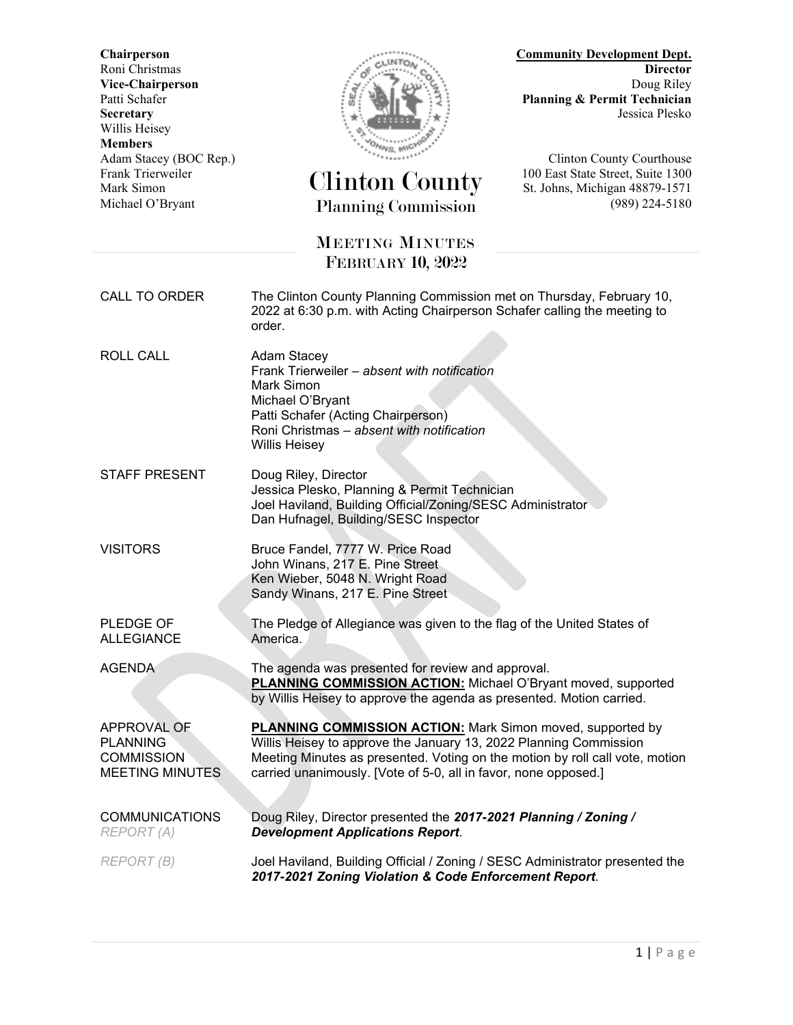Willis Heisey **Members**



## **Chairperson Community Development Dept.** Roni Christmas **Director Vice-Chairperson** Doug Riley<br>Patti Schafer **Doug Riley**<br>Planning & Permit Technician Planning & Permit Technician **Secretary** Jessica Plesko

Frank Trierweiler Clinton County 100 East State Street, Suite 1300 Mark Simon St. Johns, Michigan 48879-1571 Michael O'Bryant Planning Commission (989) 224-5180

Adam Stacey (BOC Rep.) **Clinton County Courthouse** 

## MEETING MINUTES FEBRUARY 10, 2022

CALL TO ORDER The Clinton County Planning Commission met on Thursday, February 10,

2022 at 6:30 p.m. with Acting Chairperson Schafer calling the meeting to order. ROLL CALL Adam Stacey Frank Trierweiler – *absent with notification* Mark Simon Michael O'Bryant Patti Schafer (Acting Chairperson) Roni Christmas – *absent with notification* Willis Heisey STAFF PRESENT Doug Riley, Director Jessica Plesko, Planning & Permit Technician Joel Haviland, Building Official/Zoning/SESC Administrator Dan Hufnagel, Building/SESC Inspector

VISITORS Bruce Fandel, 7777 W. Price Road John Winans, 217 E. Pine Street Ken Wieber, 5048 N. Wright Road Sandy Winans, 217 E. Pine Street

America.

PLEDGE OF ALLEGIANCE

AGENDA The agenda was presented for review and approval. **PLANNING COMMISSION ACTION:** Michael O'Bryant moved, supported by Willis Heisey to approve the agenda as presented. Motion carried.

The Pledge of Allegiance was given to the flag of the United States of

APPROVAL OF **PLANNING COMMISSION** MEETING MINUTES

COMMUNICATIONS *REPORT (A)*

Meeting Minutes as presented. Voting on the motion by roll call vote, motion carried unanimously. [Vote of 5-0, all in favor, none opposed.] Doug Riley, Director presented the *2017-2021 Planning / Zoning /*

**PLANNING COMMISSION ACTION:** Mark Simon moved, supported by Willis Heisey to approve the January 13, 2022 Planning Commission

*Development Applications Report*. *REPORT (B)* Joel Haviland, Building Official / Zoning / SESC Administrator presented the *2017-2021 Zoning Violation & Code Enforcement Report*.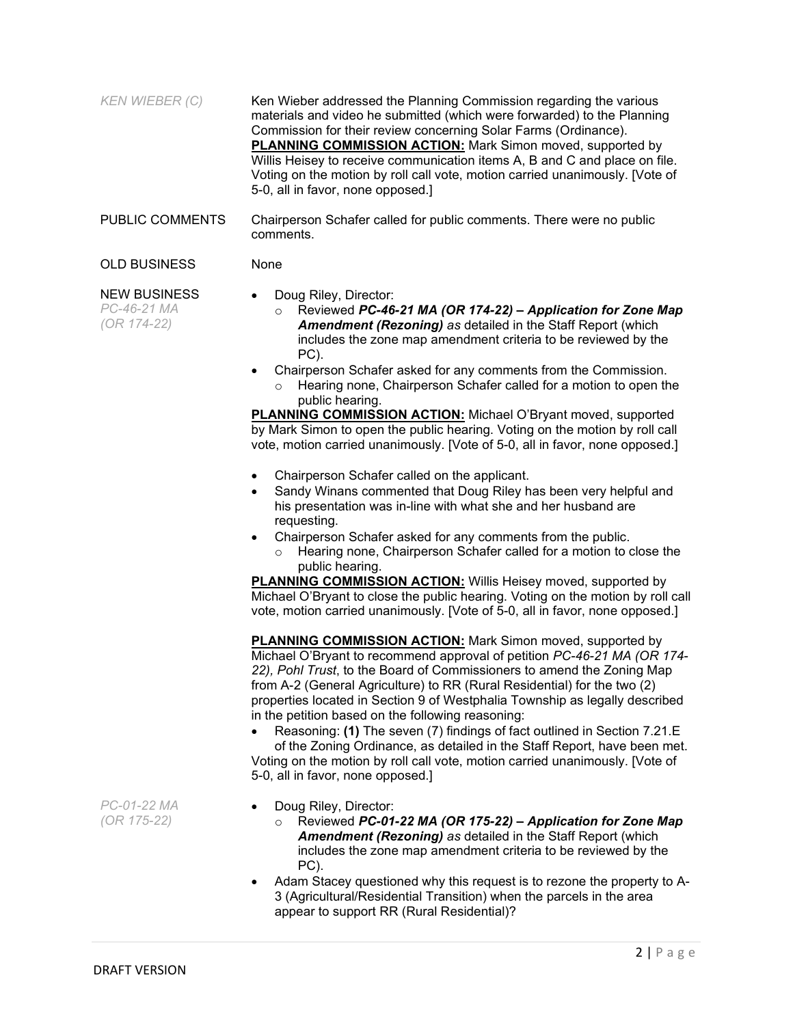| KEN WIEBER (C)                                    | Ken Wieber addressed the Planning Commission regarding the various<br>materials and video he submitted (which were forwarded) to the Planning<br>Commission for their review concerning Solar Farms (Ordinance).<br><b>PLANNING COMMISSION ACTION:</b> Mark Simon moved, supported by<br>Willis Heisey to receive communication items A, B and C and place on file.<br>Voting on the motion by roll call vote, motion carried unanimously. [Vote of<br>5-0, all in favor, none opposed.]                                 |
|---------------------------------------------------|--------------------------------------------------------------------------------------------------------------------------------------------------------------------------------------------------------------------------------------------------------------------------------------------------------------------------------------------------------------------------------------------------------------------------------------------------------------------------------------------------------------------------|
| <b>PUBLIC COMMENTS</b>                            | Chairperson Schafer called for public comments. There were no public<br>comments.                                                                                                                                                                                                                                                                                                                                                                                                                                        |
| <b>OLD BUSINESS</b>                               | None                                                                                                                                                                                                                                                                                                                                                                                                                                                                                                                     |
| <b>NEW BUSINESS</b><br>PC-46-21 MA<br>(OR 174-22) | Doug Riley, Director:<br>$\bullet$<br>Reviewed PC-46-21 MA (OR 174-22) - Application for Zone Map<br>$\circ$<br><b>Amendment (Rezoning) as detailed in the Staff Report (which</b><br>includes the zone map amendment criteria to be reviewed by the<br>PC).<br>Chairperson Schafer asked for any comments from the Commission.<br>$\bullet$<br>Hearing none, Chairperson Schafer called for a motion to open the<br>$\Omega$<br>public hearing.<br><b>PLANNING COMMISSION ACTION:</b> Michael O'Bryant moved, supported |

by Mark Simon to open the public hearing. Voting on the motion by roll call vote, motion carried unanimously. [Vote of 5-0, all in favor, none opposed.]

- Chairperson Schafer called on the applicant.
- Sandy Winans commented that Doug Riley has been very helpful and his presentation was in-line with what she and her husband are requesting.
- Chairperson Schafer asked for any comments from the public.
	- Hearing none, Chairperson Schafer called for a motion to close the public hearing.

**PLANNING COMMISSION ACTION:** Willis Heisey moved, supported by Michael O'Bryant to close the public hearing. Voting on the motion by roll call vote, motion carried unanimously. [Vote of 5-0, all in favor, none opposed.]

**PLANNING COMMISSION ACTION:** Mark Simon moved, supported by Michael O'Bryant to recommend approval of petition *PC-46-21 MA (OR 174- 22), Pohl Trust*, to the Board of Commissioners to amend the Zoning Map from A-2 (General Agriculture) to RR (Rural Residential) for the two (2) properties located in Section 9 of Westphalia Township as legally described in the petition based on the following reasoning:

• Reasoning: **(1)** The seven (7) findings of fact outlined in Section 7.21.E of the Zoning Ordinance, as detailed in the Staff Report, have been met. Voting on the motion by roll call vote, motion carried unanimously. [Vote of 5-0, all in favor, none opposed.]

- Doug Riley, Director:
	- o Reviewed *PC-01-22 MA (OR 175-22) – Application for Zone Map Amendment (Rezoning) as* detailed in the Staff Report (which includes the zone map amendment criteria to be reviewed by the PC).
- Adam Stacey questioned why this request is to rezone the property to A-3 (Agricultural/Residential Transition) when the parcels in the area appear to support RR (Rural Residential)?

*PC-01-22 MA (OR 175-22)*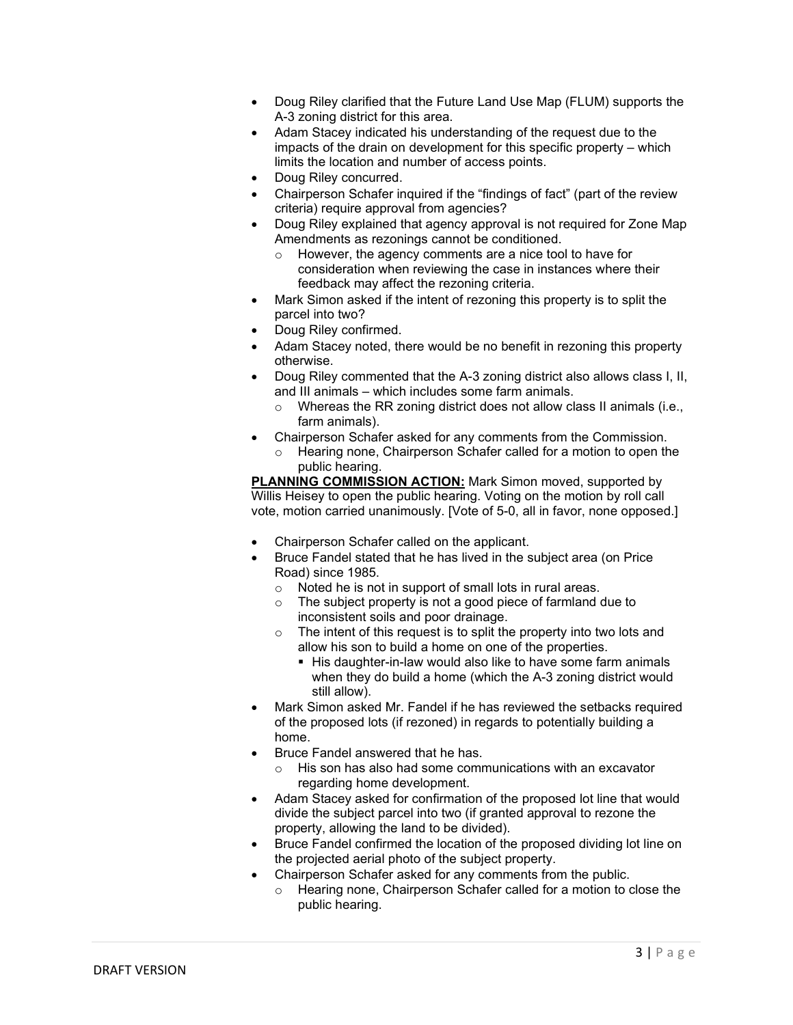- Doug Riley clarified that the Future Land Use Map (FLUM) supports the A-3 zoning district for this area.
- Adam Stacey indicated his understanding of the request due to the impacts of the drain on development for this specific property – which limits the location and number of access points.
- Doug Riley concurred.
- Chairperson Schafer inquired if the "findings of fact" (part of the review criteria) require approval from agencies?
- Doug Riley explained that agency approval is not required for Zone Map Amendments as rezonings cannot be conditioned.
	- o However, the agency comments are a nice tool to have for consideration when reviewing the case in instances where their feedback may affect the rezoning criteria.
- Mark Simon asked if the intent of rezoning this property is to split the parcel into two?
- Doug Riley confirmed.
- Adam Stacey noted, there would be no benefit in rezoning this property otherwise.
- Doug Riley commented that the A-3 zoning district also allows class I, II, and III animals – which includes some farm animals.
	- Whereas the RR zoning district does not allow class II animals (i.e., farm animals).
- Chairperson Schafer asked for any comments from the Commission.
	- o Hearing none, Chairperson Schafer called for a motion to open the public hearing.

**PLANNING COMMISSION ACTION:** Mark Simon moved, supported by Willis Heisey to open the public hearing. Voting on the motion by roll call vote, motion carried unanimously. [Vote of 5-0, all in favor, none opposed.]

- Chairperson Schafer called on the applicant.
- Bruce Fandel stated that he has lived in the subject area (on Price Road) since 1985.
	- $\circ$  Noted he is not in support of small lots in rural areas.<br> $\circ$  The subiect property is not a good piece of farmland (
	- The subject property is not a good piece of farmland due to inconsistent soils and poor drainage.
	- $\circ$  The intent of this request is to split the property into two lots and allow his son to build a home on one of the properties.
		- His daughter-in-law would also like to have some farm animals when they do build a home (which the A-3 zoning district would still allow).
- Mark Simon asked Mr. Fandel if he has reviewed the setbacks required of the proposed lots (if rezoned) in regards to potentially building a home.
- Bruce Fandel answered that he has.
	- o His son has also had some communications with an excavator regarding home development.
- Adam Stacey asked for confirmation of the proposed lot line that would divide the subject parcel into two (if granted approval to rezone the property, allowing the land to be divided).
- Bruce Fandel confirmed the location of the proposed dividing lot line on the projected aerial photo of the subject property.
- Chairperson Schafer asked for any comments from the public.
- o Hearing none, Chairperson Schafer called for a motion to close the public hearing.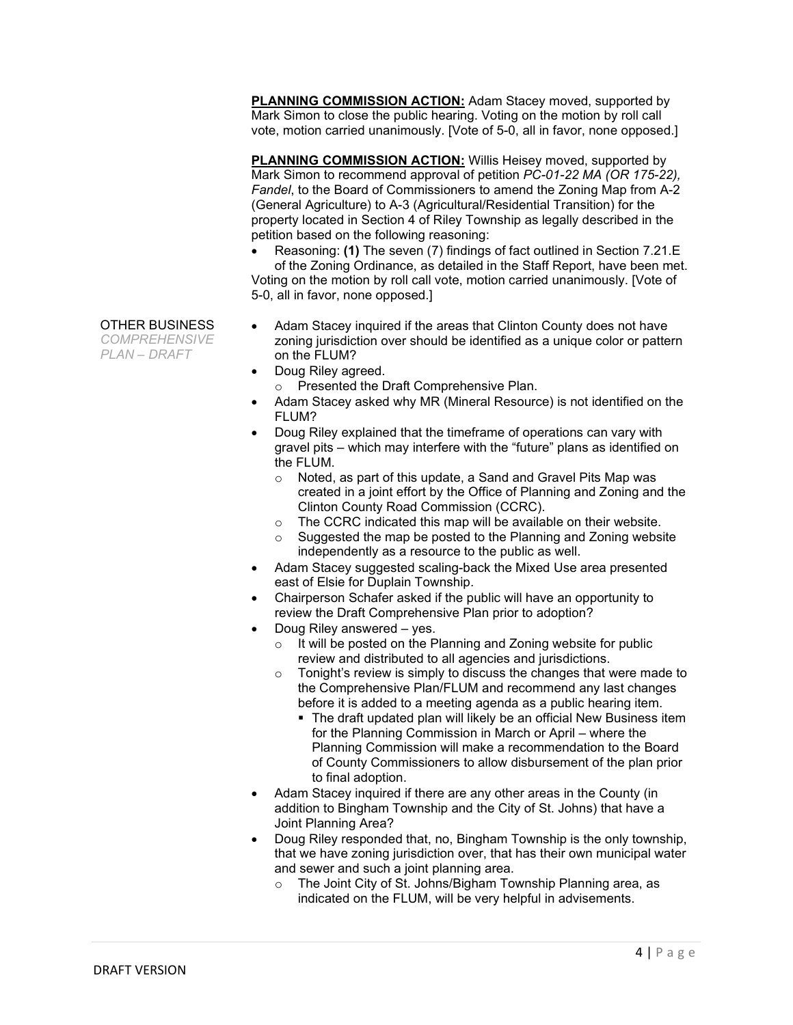**PLANNING COMMISSION ACTION:** Adam Stacey moved, supported by Mark Simon to close the public hearing. Voting on the motion by roll call vote, motion carried unanimously. [Vote of 5-0, all in favor, none opposed.]

**PLANNING COMMISSION ACTION:** Willis Heisey moved, supported by Mark Simon to recommend approval of petition *PC-01-22 MA (OR 175-22), Fandel*, to the Board of Commissioners to amend the Zoning Map from A-2 (General Agriculture) to A-3 (Agricultural/Residential Transition) for the property located in Section 4 of Riley Township as legally described in the petition based on the following reasoning:

• Reasoning: **(1)** The seven (7) findings of fact outlined in Section 7.21.E of the Zoning Ordinance, as detailed in the Staff Report, have been met. Voting on the motion by roll call vote, motion carried unanimously. [Vote of 5-0, all in favor, none opposed.]

## OTHER BUSINESS

*COMPREHENSIVE PLAN – DRAFT*

- Adam Stacey inquired if the areas that Clinton County does not have zoning jurisdiction over should be identified as a unique color or pattern on the FLUM?
- Doug Riley agreed.
	- o Presented the Draft Comprehensive Plan.
- Adam Stacey asked why MR (Mineral Resource) is not identified on the FLUM?
- Doug Riley explained that the timeframe of operations can vary with gravel pits – which may interfere with the "future" plans as identified on the FLUM.
	- o Noted, as part of this update, a Sand and Gravel Pits Map was created in a joint effort by the Office of Planning and Zoning and the Clinton County Road Commission (CCRC).
	- o The CCRC indicated this map will be available on their website.
	- $\circ$  Suggested the map be posted to the Planning and Zoning website independently as a resource to the public as well.
- Adam Stacey suggested scaling-back the Mixed Use area presented east of Elsie for Duplain Township.
- Chairperson Schafer asked if the public will have an opportunity to review the Draft Comprehensive Plan prior to adoption?
- Doug Riley answered yes.
	- $\circ$  It will be posted on the Planning and Zoning website for public review and distributed to all agencies and jurisdictions.
	- $\circ$  Tonight's review is simply to discuss the changes that were made to the Comprehensive Plan/FLUM and recommend any last changes before it is added to a meeting agenda as a public hearing item.
		- **The draft updated plan will likely be an official New Business item** for the Planning Commission in March or April – where the Planning Commission will make a recommendation to the Board of County Commissioners to allow disbursement of the plan prior to final adoption.
- Adam Stacey inquired if there are any other areas in the County (in addition to Bingham Township and the City of St. Johns) that have a Joint Planning Area?
- Doug Riley responded that, no, Bingham Township is the only township, that we have zoning jurisdiction over, that has their own municipal water and sewer and such a joint planning area.
	- o The Joint City of St. Johns/Bigham Township Planning area, as indicated on the FLUM, will be very helpful in advisements.